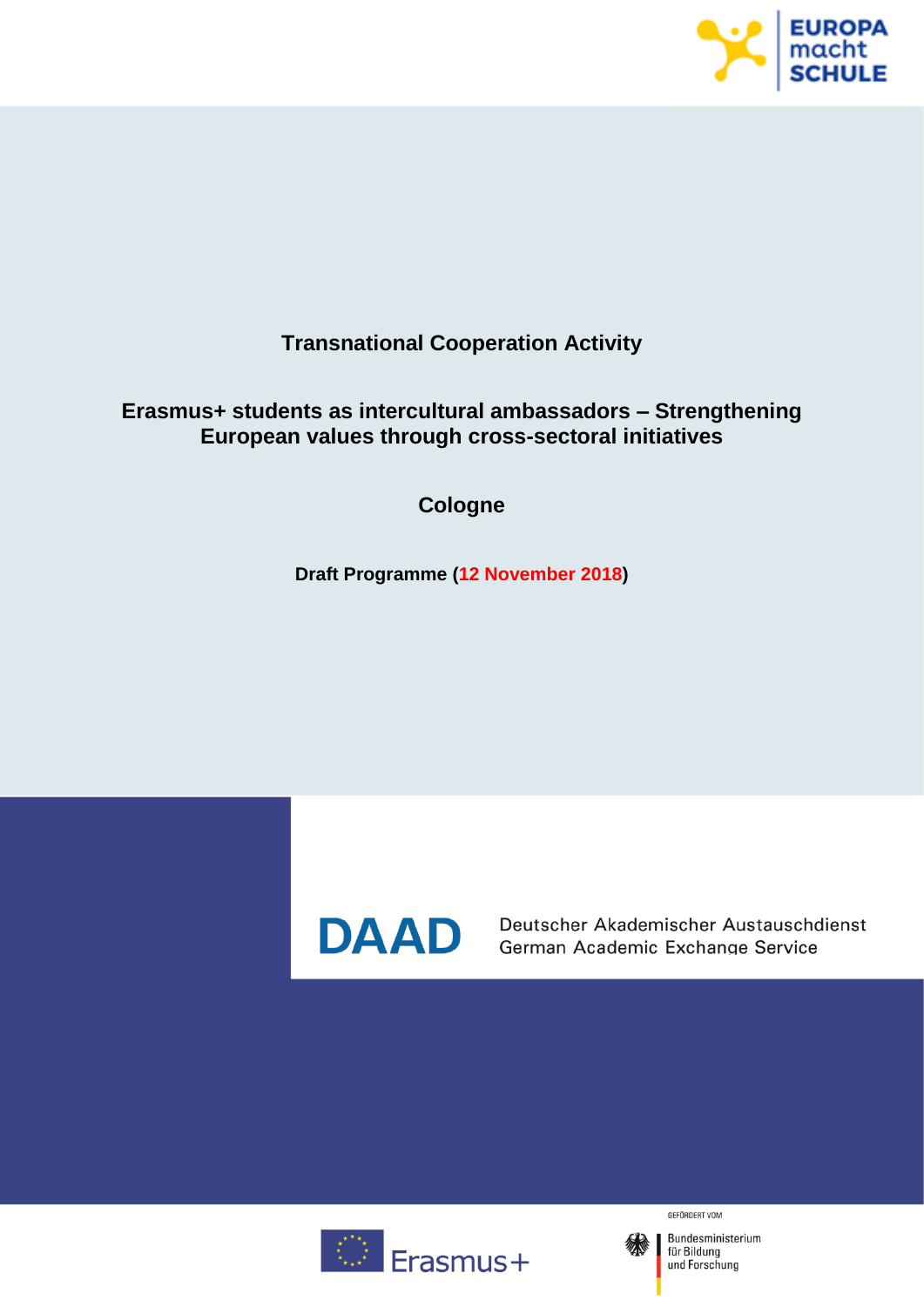

## **Transnational Cooperation Activity**

## **Erasmus+ students as intercultural ambassadors – Strengthening European values through cross-sectoral initiatives**

**Cologne**

**Draft Programme (12 November 2018)**



**DAAD** Deutscher Akademischer Austauschd<br>German Academic Exchange Service Deutscher Akademischer Austauschdienst



GEFÖRDERT VOM

Bundesministerium Für Bildung<br>tür Bildung<br>und Forschung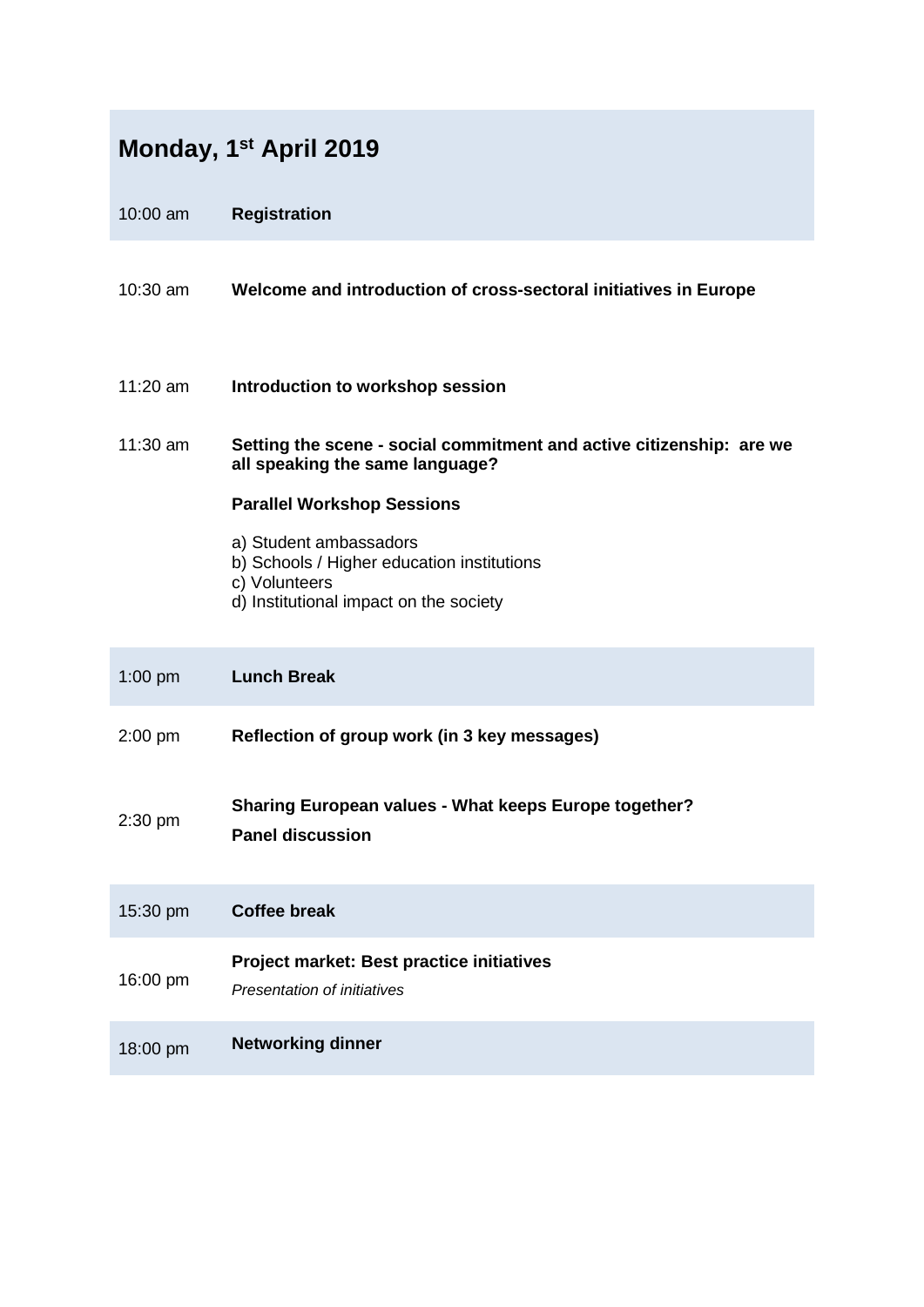| Monday, 1 <sup>st</sup> April 2019 |                                                                                                                                 |
|------------------------------------|---------------------------------------------------------------------------------------------------------------------------------|
| 10:00 am                           | <b>Registration</b>                                                                                                             |
| $10:30$ am                         | Welcome and introduction of cross-sectoral initiatives in Europe                                                                |
| 11:20 $am$                         | Introduction to workshop session                                                                                                |
| 11:30 am                           | Setting the scene - social commitment and active citizenship: are we<br>all speaking the same language?                         |
|                                    | <b>Parallel Workshop Sessions</b>                                                                                               |
|                                    | a) Student ambassadors<br>b) Schools / Higher education institutions<br>c) Volunteers<br>d) Institutional impact on the society |
| $1:00$ pm                          | <b>Lunch Break</b>                                                                                                              |
| $2:00$ pm                          | Reflection of group work (in 3 key messages)                                                                                    |
| 2:30 pm                            | Sharing European values - What keeps Europe together?<br><b>Panel discussion</b>                                                |
| 15:30 pm                           | <b>Coffee break</b>                                                                                                             |
| 16:00 pm                           | Project market: Best practice initiatives<br>Presentation of initiatives                                                        |
| 18:00 pm                           | <b>Networking dinner</b>                                                                                                        |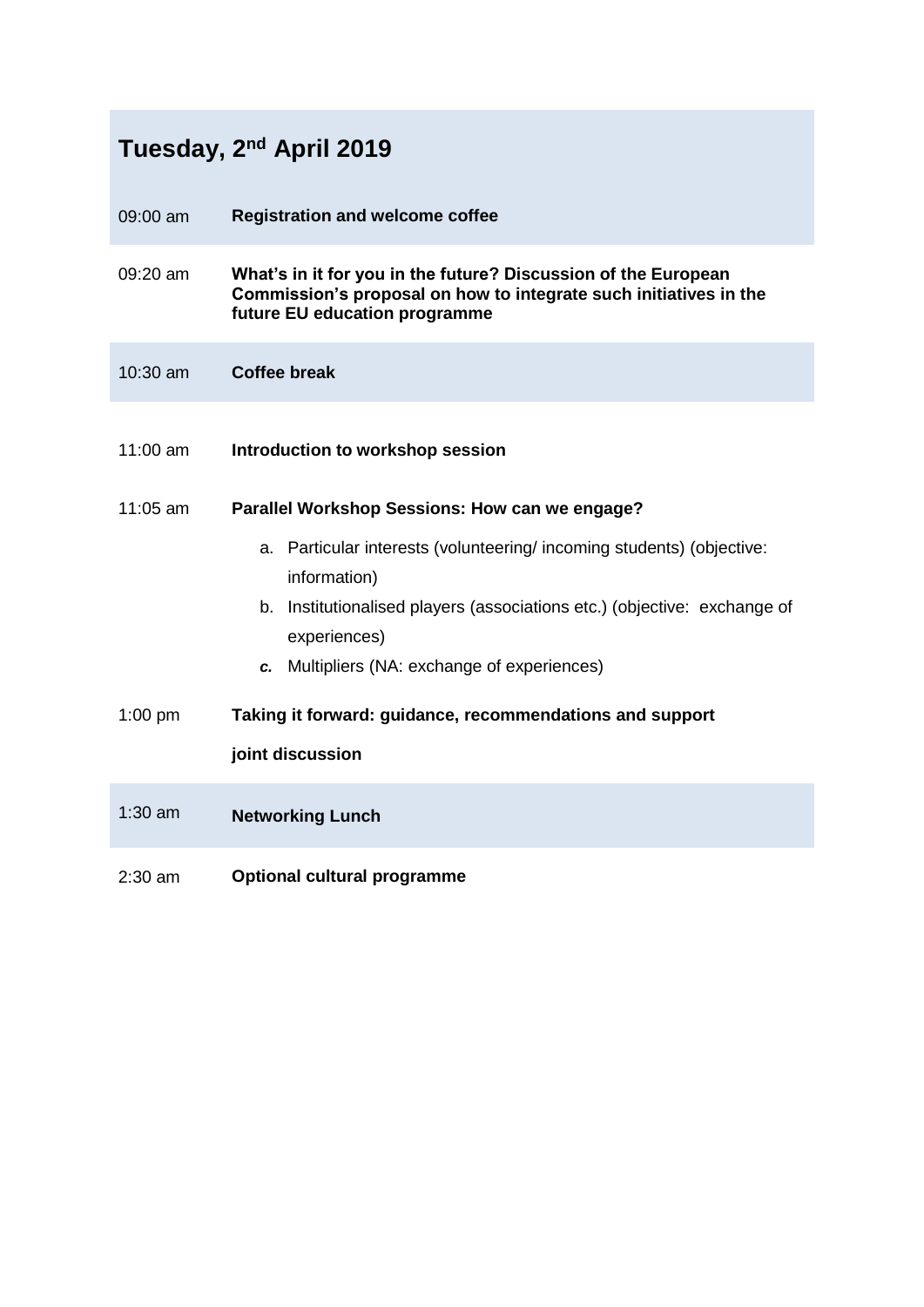|                    | Tuesday, 2 <sup>nd</sup> April 2019                                                                                                                                                                                              |
|--------------------|----------------------------------------------------------------------------------------------------------------------------------------------------------------------------------------------------------------------------------|
| 09:00 am           | <b>Registration and welcome coffee</b>                                                                                                                                                                                           |
| $09:20 \text{ am}$ | What's in it for you in the future? Discussion of the European<br>Commission's proposal on how to integrate such initiatives in the<br>future EU education programme                                                             |
| 10:30 am           | <b>Coffee break</b>                                                                                                                                                                                                              |
| $11:00$ am         | Introduction to workshop session                                                                                                                                                                                                 |
| $11:05$ am         | Parallel Workshop Sessions: How can we engage?                                                                                                                                                                                   |
|                    | a. Particular interests (volunteering/incoming students) (objective:<br>information)<br>b. Institutionalised players (associations etc.) (objective: exchange of<br>experiences)<br>c. Multipliers (NA: exchange of experiences) |
| $1:00$ pm          | Taking it forward: guidance, recommendations and support                                                                                                                                                                         |
|                    | joint discussion                                                                                                                                                                                                                 |
| $1:30$ am          | <b>Networking Lunch</b>                                                                                                                                                                                                          |
| $2:30$ am          | <b>Optional cultural programme</b>                                                                                                                                                                                               |